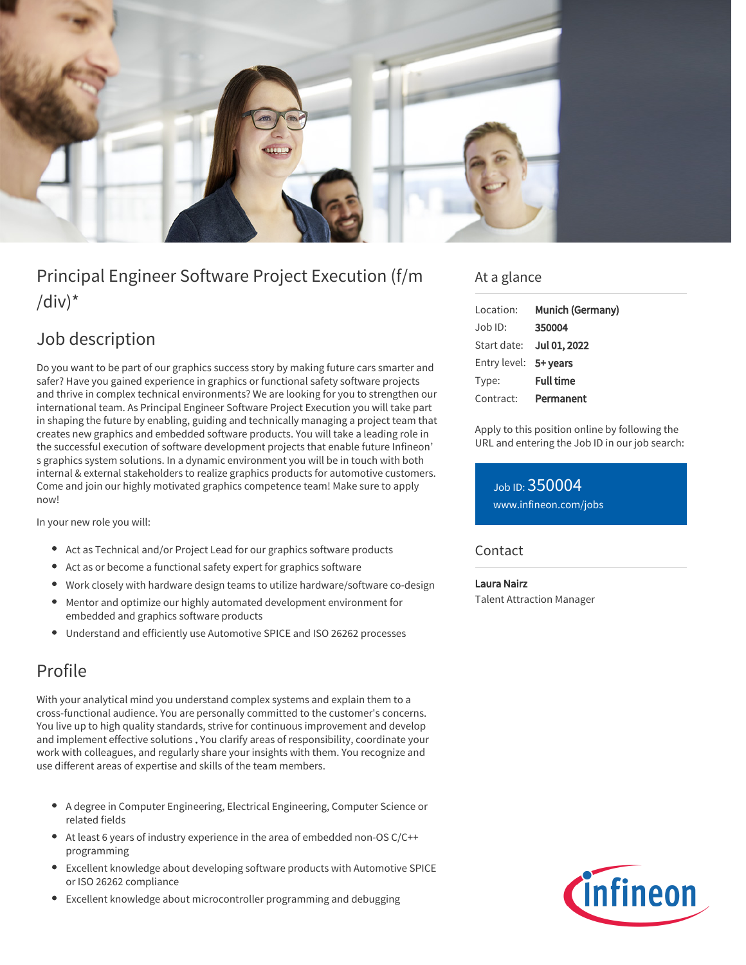

# Principal Engineer Software Project Execution (f/m  $\frac{1}{d}$

# Job description

Do you want to be part of our graphics success story by making future cars smarter and safer? Have you gained experience in graphics or functional safety software projects and thrive in complex technical environments? We are looking for you to strengthen our international team. As Principal Engineer Software Project Execution you will take part in shaping the future by enabling, guiding and technically managing a project team that creates new graphics and embedded software products. You will take a leading role in the successful execution of software development projects that enable future Infineon' s graphics system solutions. In a dynamic environment you will be in touch with both internal & external stakeholders to realize graphics products for automotive customers. Come and join our highly motivated graphics competence team! Make sure to apply now!

In your new role you will:

- Act as Technical and/or Project Lead for our graphics software products
- Act as or become a functional safety expert for graphics software
- Work closely with hardware design teams to utilize hardware/software co-design
- Mentor and optimize our highly automated development environment for embedded and graphics software products
- Understand and efficiently use Automotive SPICE and ISO 26262 processes

## Profile

With your analytical mind you understand complex systems and explain them to a cross-functional audience. You are personally committed to the customer's concerns. You live up to high quality standards, strive for continuous improvement and develop and implement effective solutions . You clarify areas of responsibility, coordinate your work with colleagues, and regularly share your insights with them. You recognize and use different areas of expertise and skills of the team members.

- A degree in Computer Engineering, Electrical Engineering, Computer Science or related fields
- At least 6 years of industry experience in the area of embedded non-OS C/C++ programming
- Excellent knowledge about developing software products with Automotive SPICE or ISO 26262 compliance
- Excellent knowledge about microcontroller programming and debugging

### At a glance

| Location:             | Munich (Germany)         |
|-----------------------|--------------------------|
| $Job$ ID:             | 350004                   |
|                       | Start date: Jul 01, 2022 |
| Entry level: 5+ years |                          |
| Type:                 | <b>Full time</b>         |
| Contract:             | Permanent                |

Apply to this position online by following the URL and entering the Job ID in our job search:

Job ID: 350004 [www.infineon.com/jobs](https://www.infineon.com/jobs)

### **Contact**

#### Laura Nairz

Talent Attraction Manager